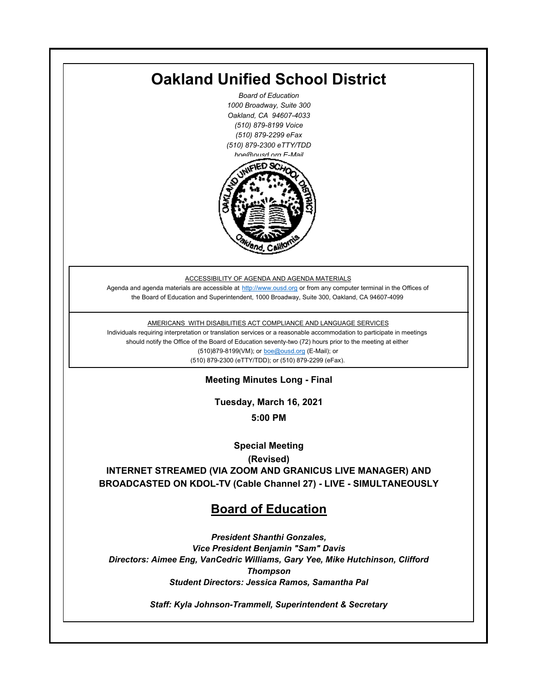

*Staff: Kyla Johnson-Trammell, Superintendent & Secretary*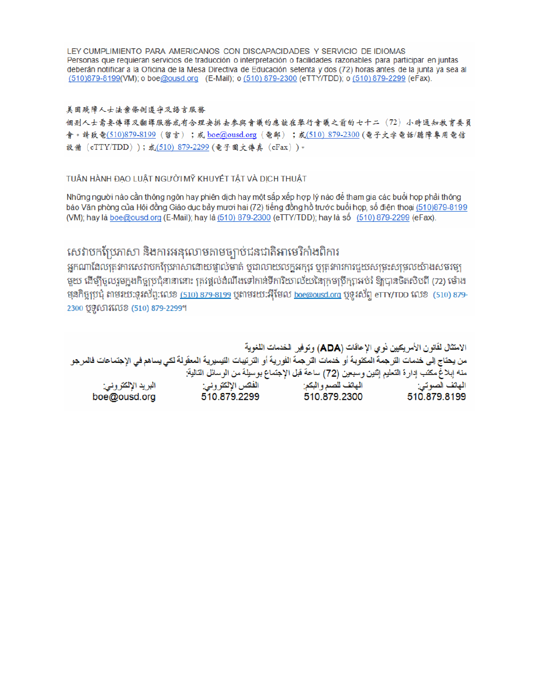LEY CUMPLIMIENTO PARA AMERICANOS CON DISCAPACIDADES Y SERVICIO DE IDIOMAS Personas que requieran servicios de traducción o interpretación o facilidades razonables para participar en juntas deberán notificar a la Oficina de la Mesa Directiva de Educación setenta y dos (72) horas antes de la junta ya sea al (510)879-8199(VM); o boe@ousd.org (E-Mail); o (510) 879-2300 (eTTY/TDD); o (510) 879-2299 (eFax).

#### 美国残障人士法案條例遵守及語言服務

個别人士需要傳譯及翻譯服務或有合理安排去參與會議的應該在舉行會議之前的七十二 (72) 小時通知教育委員 會。請致電(510)879-8199(留言);或 boe@ousd.org (電郵) ;或(510) 879-2300 (電子文字電話/聽障專用電信 設備 (eTTY/TDD));或(510)879-2299(電子圖文傳真 (eFax))。

#### TUÂN HÀNH ĐẠO LUẬT NGƯỜI MỸ KHUYẾT TẤT VÀ DỊCH THUẬT

Những người nào cần thông ngôn hay phiên dịch hay một sắp xếp hợp lý nào để tham gia các buổi họp phải thông báo Văn phòng của Hội đồng Giáo dục bảy mươi hai (72) tiếng đồng hồ trước buổi họp, số điện thoại (510)879-8199 (VM); hay là boe@ousd.org (E-Mail); hay là (510) 879-2300 (eTTY/TDD); hay là số (510) 879-2299 (eFax).

# សេវាបកប្រែភាសា និងការអនុលោមតាមច្បាប់ជនជាតិអាមេរិកាំងពិការ

អកណាដែលតេវការសេវាបកប្រែភាសាដោយផ្ទាល់មាត់ ឬជាលាយលក្ខអក្សរ ឬត្រូវការការជួយសម្រះសម្រលយ៉ាងសមរម្យ មយ ដើម្បីចលរមកងកិច្ចប្រជុំនានានោះ ត្រូវផ្តល់ដំណឹងទៅកាន់ទីការិយាល័យនៃក្រមប្រឹក្សាអប់រំ ឱ្យបានចិតសិបពី (72) ម៉ោង ម្មនកិច្ចប្រជុំ តាមរយៈទូរស័ព្ទ:លេខ (<u>510) 879-8199</u> បុតាមរយៈអ៊ីមែល <u>boe@ousd.org</u> បុទ្**រ**ស័ព្ទ eTTY/TDD លេខ (510) 879-2300 ប៊ូទ្មិសារលេខ (510) 879-2299។

الامتثال لقانون الأمريكيين نو ي الإعاقات (ADA) وتوفير الخدمات اللغوية من يحتاج إلى خدمات التر جمة المكتوبة أو خدمات التر جمة الفورية أو الترتيبات التيسيرية المعفّولة لكي يساهم في الإجتماعات فالمرجو منه إبلاغ مكتب إدارة التعليم إثنين وسبعين (72) ساعة قبل الإجتماع بوسيلة من الوسائل التالية: البريد الإلكتروني: 510.879.2299 boe@ousd.org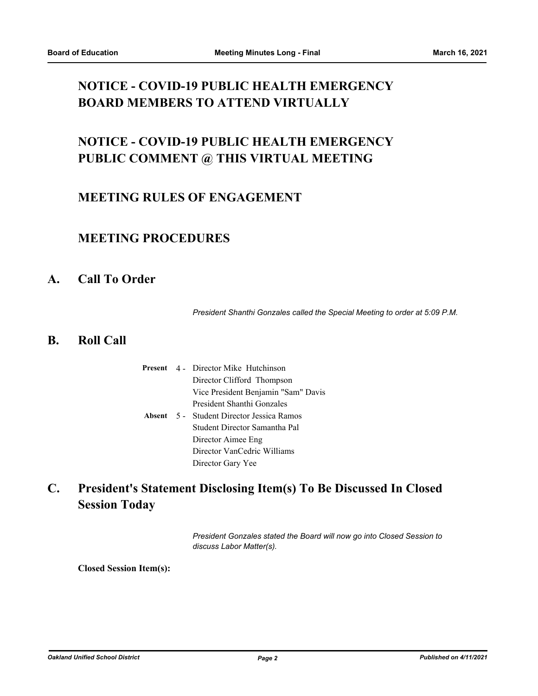# **NOTICE - COVID-19 PUBLIC HEALTH EMERGENCY BOARD MEMBERS TO ATTEND VIRTUALLY**

# **NOTICE - COVID-19 PUBLIC HEALTH EMERGENCY PUBLIC COMMENT @ THIS VIRTUAL MEETING**

## **MEETING RULES OF ENGAGEMENT**

## **MEETING PROCEDURES**

## **A. Call To Order**

*President Shanthi Gonzales called the Special Meeting to order at 5:09 P.M.*

### **B. Roll Call**

|  | <b>Present</b> 4 - Director Mike Hutchinson      |
|--|--------------------------------------------------|
|  | Director Clifford Thompson                       |
|  | Vice President Benjamin "Sam" Davis              |
|  | President Shanthi Gonzales                       |
|  | <b>Absent</b> 5 - Student Director Jessica Ramos |
|  | Student Director Samantha Pal                    |
|  | Director Aimee Eng                               |
|  | Director VanCedric Williams                      |
|  | Director Gary Yee                                |

**President's Statement Disclosing Item(s) To Be Discussed In Closed Session Today C.**

> *President Gonzales stated the Board will now go into Closed Session to discuss Labor Matter(s).*

**Closed Session Item(s):**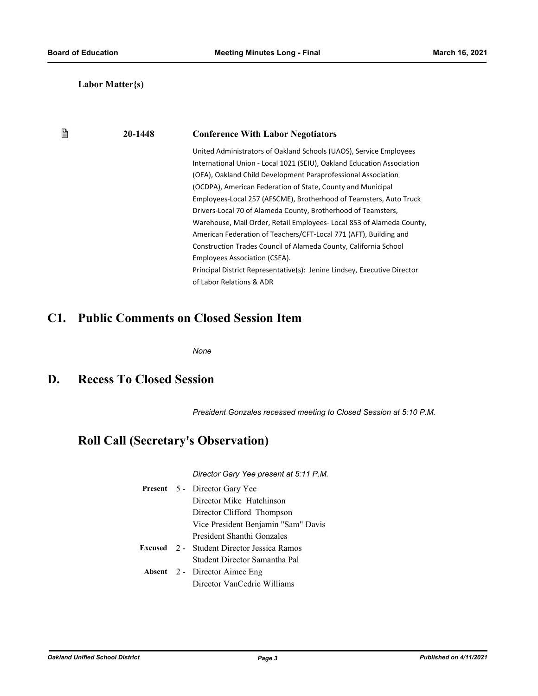窅

#### **Labor Matter{s)**

## **20-1448 Conference With Labor Negotiators**

United Administrators of Oakland Schools (UAOS), Service Employees International Union - Local 1021 (SEIU), Oakland Education Association (OEA), Oakland Child Development Paraprofessional Association (OCDPA), American Federation of State, County and Municipal Employees-Local 257 (AFSCME), Brotherhood of Teamsters, Auto Truck Drivers-Local 70 of Alameda County, Brotherhood of Teamsters, Warehouse, Mail Order, Retail Employees- Local 853 of Alameda County, American Federation of Teachers/CFT-Local 771 (AFT), Building and Construction Trades Council of Alameda County, California School Employees Association (CSEA). Principal District Representative(s): Jenine Lindsey, Executive Director of Labor Relations & ADR

# **C1. Public Comments on Closed Session Item**

*None*

### **D. Recess To Closed Session**

*President Gonzales recessed meeting to Closed Session at 5:10 P.M.*

# **Roll Call (Secretary's Observation)**

*Director Gary Yee present at 5:11 P.M.*

|  | Present 5 - Director Gary Yee                     |
|--|---------------------------------------------------|
|  | Director Mike Hutchinson                          |
|  | Director Clifford Thompson                        |
|  | Vice President Benjamin "Sam" Davis               |
|  | President Shanthi Gonzales                        |
|  | <b>Excused</b> 2 - Student Director Jessica Ramos |
|  | Student Director Samantha Pal                     |
|  | <b>Absent</b> 2 - Director Aimee Eng              |
|  | Director VanCedric Williams                       |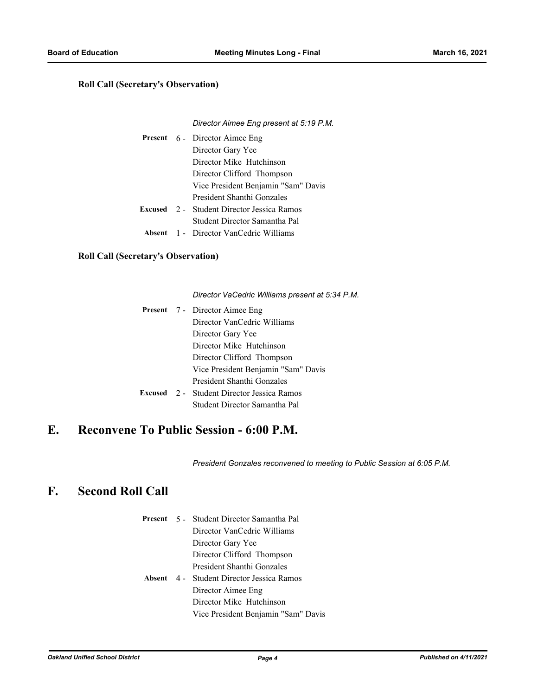#### **Roll Call (Secretary's Observation)**

#### *Director Aimee Eng present at 5:19 P.M.*

|  | <b>Present</b> 6 - Director Aimee Eng             |
|--|---------------------------------------------------|
|  | Director Gary Yee                                 |
|  | Director Mike Hutchinson                          |
|  | Director Clifford Thompson                        |
|  | Vice President Benjamin "Sam" Davis               |
|  | President Shanthi Gonzales                        |
|  | <b>Excused</b> 2 - Student Director Jessica Ramos |
|  | Student Director Samantha Pal                     |
|  | <b>Absent</b> 1 Director VanCedric Williams       |

#### **Roll Call (Secretary's Observation)**

*Director VaCedric Williams present at 5:34 P.M.*

|  | <b>Present</b> 7 - Director Aimee Eng             |
|--|---------------------------------------------------|
|  | Director VanCedric Williams                       |
|  | Director Gary Yee                                 |
|  | Director Mike Hutchinson                          |
|  | Director Clifford Thompson                        |
|  | Vice President Benjamin "Sam" Davis               |
|  | President Shanthi Gonzales                        |
|  | <b>Excused</b> 2 - Student Director Jessica Ramos |
|  | Student Director Samantha Pal                     |

## **E. Reconvene To Public Session - 6:00 P.M.**

*President Gonzales reconvened to meeting to Public Session at 6:05 P.M.*

# **F. Second Roll Call**

|  | Present 5 - Student Director Samantha Pal        |
|--|--------------------------------------------------|
|  | Director VanCedric Williams                      |
|  | Director Gary Yee                                |
|  | Director Clifford Thompson                       |
|  | President Shanthi Gonzales                       |
|  | <b>Absent</b> 4 - Student Director Jessica Ramos |
|  | Director Aimee Eng                               |
|  | Director Mike Hutchinson                         |
|  | Vice President Benjamin "Sam" Davis              |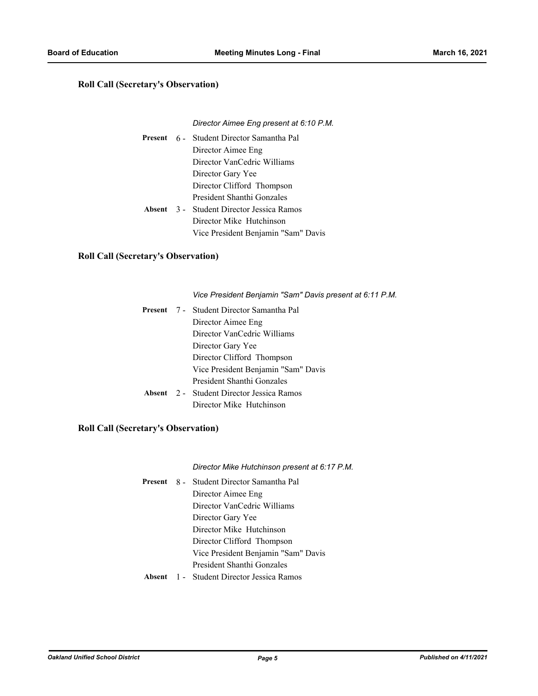#### **Roll Call (Secretary's Observation)**

#### *Director Aimee Eng present at 6:10 P.M.*

|  | Present 6 - Student Director Samantha Pal        |
|--|--------------------------------------------------|
|  | Director Aimee Eng                               |
|  | Director VanCedric Williams                      |
|  | Director Gary Yee                                |
|  | Director Clifford Thompson                       |
|  | President Shanthi Gonzales                       |
|  | <b>Absent</b> 3 - Student Director Jessica Ramos |
|  | Director Mike Hutchinson                         |
|  | Vice President Benjamin "Sam" Davis              |

#### **Roll Call (Secretary's Observation)**

*Vice President Benjamin "Sam" Davis present at 6:11 P.M.*

|  | Present 7 - Student Director Samantha Pal        |
|--|--------------------------------------------------|
|  | Director Aimee Eng                               |
|  | Director VanCedric Williams                      |
|  | Director Gary Yee                                |
|  | Director Clifford Thompson                       |
|  | Vice President Benjamin "Sam" Davis              |
|  | President Shanthi Gonzales                       |
|  | <b>Absent</b> 2 - Student Director Jessica Ramos |
|  | Director Mike Hutchinson                         |

#### **Roll Call (Secretary's Observation)**

*Director Mike Hutchinson present at 6:17 P.M.*

|  | Present 8 - Student Director Samantha Pal        |
|--|--------------------------------------------------|
|  | Director Aimee Eng                               |
|  | Director VanCedric Williams                      |
|  | Director Gary Yee                                |
|  | Director Mike Hutchinson                         |
|  | Director Clifford Thompson                       |
|  | Vice President Benjamin "Sam" Davis              |
|  | President Shanthi Gonzales                       |
|  | <b>Absent</b> 1 - Student Director Jessica Ramos |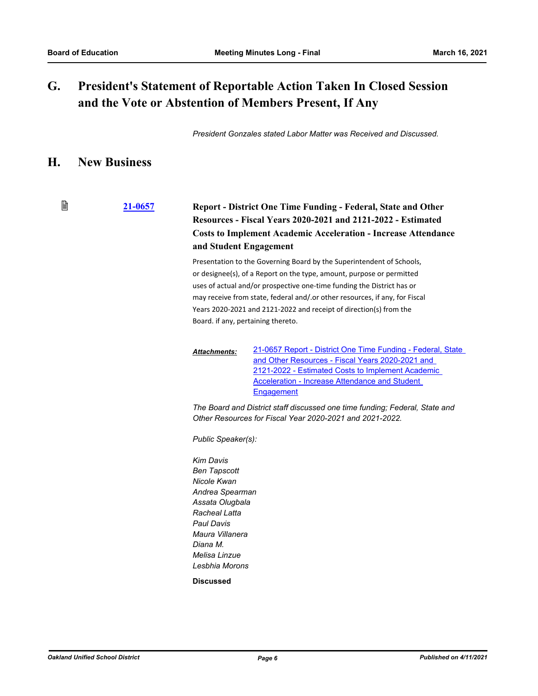#### **President's Statement of Reportable Action Taken In Closed Session and the Vote or Abstention of Members Present, If Any G.**

*President Gonzales stated Labor Matter was Received and Discussed.*

### **H. New Business**

閶 **[21-0657](http://ousd.legistar.com/gateway.aspx?m=l&id=/matter.aspx?key=51793) Report - District One Time Funding - Federal, State and Other Resources - Fiscal Years 2020-2021 and 2121-2022 - Estimated Costs to Implement Academic Acceleration - Increase Attendance and Student Engagement**

> Presentation to the Governing Board by the Superintendent of Schools, or designee(s), of a Report on the type, amount, purpose or permitted uses of actual and/or prospective one-time funding the District has or may receive from state, federal and/.or other resources, if any, for Fiscal Years 2020-2021 and 2121-2022 and receipt of direction(s) from the Board. if any, pertaining thereto.

[21-0657 Report - District One Time Funding - Federal, State](http://ousd.legistar.com/gateway.aspx?M=F&ID=98381.pptx)  and Other Resources - Fiscal Years 2020-2021 and 2121-2022 - Estimated Costs to Implement Academic Acceleration - Increase Attendance and Student **Engagement** *Attachments:*

*The Board and District staff discussed one time funding; Federal, State and Other Resources for Fiscal Year 2020-2021 and 2021-2022.*

*Public Speaker(s):*

*Kim Davis Ben Tapscott Nicole Kwan Andrea Spearman Assata Olugbala Racheal Latta Paul Davis Maura Villanera Diana M. Melisa Linzue Lesbhia Morons*

**Discussed**